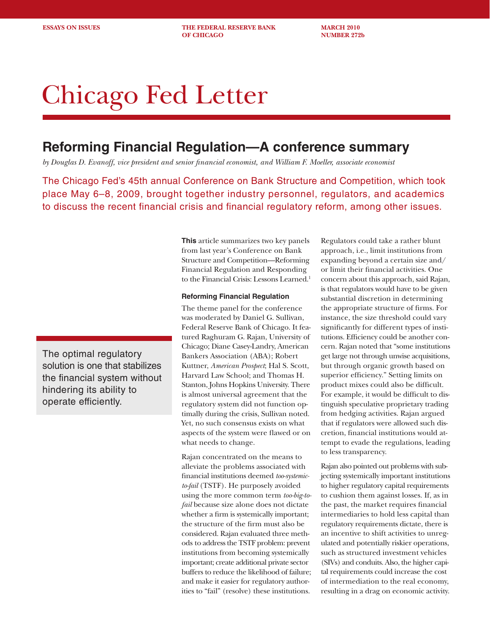**ESSAYS ON ISSUES THE FEDERAL RESERVE BANK MARCH 2010 OF CHICAGO NUMBER 272b** 

# Chicago Fed Letter

## **Reforming Financial Regulation—A conference summary**

*by Douglas D. Evanoff, vice president and senior financial economist, and William F. Moeller, associate economist*

The Chicago Fed's 45th annual Conference on Bank Structure and Competition, which took place May 6–8, 2009, brought together industry personnel, regulators, and academics to discuss the recent financial crisis and financial regulatory reform, among other issues.

The optimal regulatory solution is one that stabilizes the financial system without hindering its ability to operate efficiently.

**This** article summarizes two key panels from last year's Conference on Bank Structure and Competition—Reforming Financial Regulation and Responding to the Financial Crisis: Lessons Learned.<sup>1</sup>

#### **Reforming Financial Regulation**

The theme panel for the conference was moderated by Daniel G. Sullivan, Federal Reserve Bank of Chicago. It featured Raghuram G. Rajan, University of Chicago; Diane Casey-Landry, American Bankers Association (ABA); Robert Kuttner, *American Prospect*; Hal S. Scott, Harvard Law School; and Thomas H. Stanton, Johns Hopkins University. There is almost universal agreement that the regulatory system did not function optimally during the crisis, Sullivan noted. Yet, no such consensus exists on what aspects of the system were flawed or on what needs to change.

Rajan concentrated on the means to alleviate the problems associated with financial institutions deemed *too-systemicto-fail* (TSTF). He purposely avoided using the more common term *too-big-tofail* because size alone does not dictate whether a firm is systemically important; the structure of the firm must also be considered. Rajan evaluated three methods to address the TSTF problem: prevent institutions from becoming systemically important; create additional private sector buffers to reduce the likelihood of failure; and make it easier for regulatory authorities to "fail" (resolve) these institutions.

Regulators could take a rather blunt approach, i.e., limit institutions from expanding beyond a certain size and/ or limit their financial activities. One concern about this approach, said Rajan, is that regulators would have to be given substantial discretion in determining the appropriate structure of firms. For instance, the size threshold could vary significantly for different types of institutions. Efficiency could be another concern. Rajan noted that "some institutions get large not through unwise acquisitions, but through organic growth based on superior efficiency." Setting limits on product mixes could also be difficult. For example, it would be difficult to distinguish speculative proprietary trading from hedging activities. Rajan argued that if regulators were allowed such discretion, financial institutions would attempt to evade the regulations, leading to less transparency.

Rajan also pointed out problems with subjecting systemically important institutions to higher regulatory capital requirements to cushion them against losses. If, as in the past, the market requires financial intermediaries to hold less capital than regulatory requirements dictate, there is an incentive to shift activities to unregulated and potentially riskier operations, such as structured investment vehicles (SIVs) and conduits. Also, the higher capital requirements could increase the cost of intermediation to the real economy, resulting in a drag on economic activity.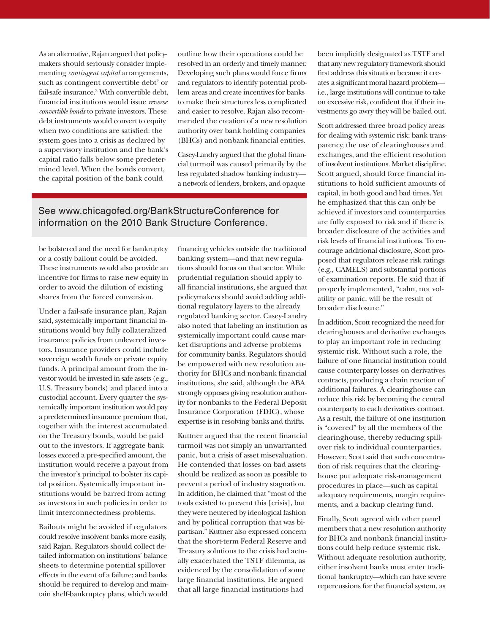As an alternative, Rajan argued that policymakers should seriously consider implementing *contingent capital* arrangements, such as contingent convertible debt<sup>2</sup> or fail-safe insurance.<sup>3</sup> With convertible debt, financial institutions would issue *reverse convertible bonds* to private investors. These debt instruments would convert to equity when two conditions are satisfied: the system goes into a crisis as declared by a supervisory institution and the bank's capital ratio falls below some predetermined level. When the bonds convert, the capital position of the bank could

outline how their operations could be resolved in an orderly and timely manner. Developing such plans would force firms and regulators to identify potential problem areas and create incentives for banks to make their structures less complicated and easier to resolve. Rajan also recommended the creation of a new resolution authority over bank holding companies (BHCs) and nonbank financial entities.

Casey-Landry argued that the global financial turmoil was caused primarily by the less regulated shadow banking industry a network of lenders, brokers, and opaque

## See www.chicagofed.org/BankStructureConference for information on the 2010 Bank Structure Conference.

be bolstered and the need for bankruptcy or a costly bailout could be avoided. These instruments would also provide an incentive for firms to raise new equity in order to avoid the dilution of existing shares from the forced conversion.

Under a fail-safe insurance plan, Rajan said, systemically important financial institutions would buy fully collateralized insurance policies from unlevered investors. Insurance providers could include sovereign wealth funds or private equity funds. A principal amount from the investor would be invested in safe assets (e.g., U.S. Treasury bonds) and placed into a custodial account. Every quarter the systemically important institution would pay a predetermined insurance premium that, together with the interest accumulated on the Treasury bonds, would be paid out to the investors. If aggregate bank losses exceed a pre-specified amount, the institution would receive a payout from the investor's principal to bolster its capital position. Systemically important institutions would be barred from acting as investors in such policies in order to limit interconnectedness problems.

Bailouts might be avoided if regulators could resolve insolvent banks more easily, said Rajan. Regulators should collect detailed information on institutions' balance sheets to determine potential spillover effects in the event of a failure; and banks should be required to develop and maintain shelf-bankruptcy plans, which would financing vehicles outside the traditional banking system—and that new regulations should focus on that sector. While prudential regulation should apply to all financial institutions, she argued that policymakers should avoid adding additional regulatory layers to the already regulated banking sector. Casey-Landry also noted that labeling an institution as systemically important could cause market disruptions and adverse problems for community banks. Regulators should be empowered with new resolution authority for BHCs and nonbank financial institutions, she said, although the ABA strongly opposes giving resolution authority for nonbanks to the Federal Deposit Insurance Corporation (FDIC), whose expertise is in resolving banks and thrifts.

Kuttner argued that the recent financial turmoil was not simply an unwarranted panic, but a crisis of asset misevaluation. He contended that losses on bad assets should be realized as soon as possible to prevent a period of industry stagnation. In addition, he claimed that "most of the tools existed to prevent this [crisis], but they were neutered by ideological fashion and by political corruption that was bipartisan." Kuttner also expressed concern that the short-term Federal Reserve and Treasury solutions to the crisis had actually exacerbated the TSTF dilemma, as evidenced by the consolidation of some large financial institutions. He argued that all large financial institutions had

been implicitly designated as TSTF and that any new regulatory framework should first address this situation because it creates a significant moral hazard problem i.e., large institutions will continue to take on excessive risk, confident that if their investments go awry they will be bailed out.

Scott addressed three broad policy areas for dealing with systemic risk: bank transparency, the use of clearinghouses and exchanges, and the efficient resolution of insolvent institutions. Market discipline, Scott argued, should force financial institutions to hold sufficient amounts of capital, in both good and bad times. Yet he emphasized that this can only be achieved if investors and counterparties are fully exposed to risk and if there is broader disclosure of the activities and risk levels of financial institutions. To encourage additional disclosure, Scott proposed that regulators release risk ratings (e.g., CAMELS) and substantial portions of examination reports. He said that if properly implemented, "calm, not volatility or panic, will be the result of broader disclosure."

In addition, Scott recognized the need for clearinghouses and derivative exchanges to play an important role in reducing systemic risk. Without such a role, the failure of one financial institution could cause counterparty losses on derivatives contracts, producing a chain reaction of additional failures. A clearinghouse can reduce this risk by becoming the central counterparty to each derivatives contract. As a result, the failure of one institution is "covered" by all the members of the clearinghouse, thereby reducing spillover risk to individual counterparties. However, Scott said that such concentration of risk requires that the clearinghouse put adequate risk-management procedures in place—such as capital adequacy requirements, margin requirements, and a backup clearing fund.

Finally, Scott agreed with other panel members that a new resolution authority for BHCs and nonbank financial institutions could help reduce systemic risk. Without adequate resolution authority, either insolvent banks must enter traditional bankruptcy—which can have severe repercussions for the financial system, as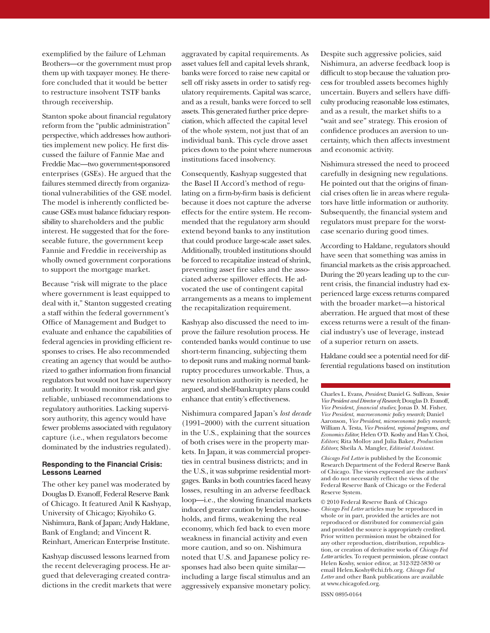exemplified by the failure of Lehman Brothers—or the government must prop them up with taxpayer money. He therefore concluded that it would be better to restructure insolvent TSTF banks through receivership.

Stanton spoke about financial regulatory reform from the "public administration" perspective, which addresses how authorities implement new policy. He first discussed the failure of Fannie Mae and Freddie Mac—two government-sponsored enterprises (GSEs). He argued that the failures stemmed directly from organizational vulnerabilities of the GSE model. The model is inherently conflicted because GSEs must balance fiduciary responsibility to shareholders and the public interest. He suggested that for the foreseeable future, the government keep Fannie and Freddie in receivership as wholly owned government corporations to support the mortgage market.

Because "risk will migrate to the place where government is least equipped to deal with it," Stanton suggested creating a staff within the federal government's Office of Management and Budget to evaluate and enhance the capabilities of federal agencies in providing efficient responses to crises. He also recommended creating an agency that would be authorized to gather information from financial regulators but would not have supervisory authority. It would monitor risk and give reliable, unbiased recommendations to regulatory authorities. Lacking supervisory authority, this agency would have fewer problems associated with regulatory capture (i.e., when regulators become dominated by the industries regulated).

## **Responding to the Financial Crisis: Lessons Learned**

The other key panel was moderated by Douglas D. Evanoff, Federal Reserve Bank of Chicago. It featured Anil K Kashyap, University of Chicago; Kiyohiko G. Nishimura, Bank of Japan; Andy Haldane, Bank of England; and Vincent R. Reinhart, American Enterprise Institute.

Kashyap discussed lessons learned from the recent deleveraging process. He argued that deleveraging created contradictions in the credit markets that were aggravated by capital requirements. As asset values fell and capital levels shrank, banks were forced to raise new capital or sell off risky assets in order to satisfy regulatory requirements. Capital was scarce, and as a result, banks were forced to sell assets. This generated further price depreciation, which affected the capital level of the whole system, not just that of an individual bank. This cycle drove asset prices down to the point where numerous institutions faced insolvency.

Consequently, Kashyap suggested that the Basel II Accord's method of regulating on a firm-by-firm basis is deficient because it does not capture the adverse effects for the entire system. He recommended that the regulatory arm should extend beyond banks to any institution that could produce large-scale asset sales. Additionally, troubled institutions should be forced to recapitalize instead of shrink, preventing asset fire sales and the associated adverse spillover effects. He advocated the use of contingent capital arrangements as a means to implement the recapitalization requirement.

Kashyap also discussed the need to improve the failure resolution process. He contended banks would continue to use short-term financing, subjecting them to deposit runs and making normal bankruptcy procedures unworkable. Thus, a new resolution authority is needed, he argued, and shelf-bankruptcy plans could enhance that entity's effectiveness.

Nishimura compared Japan's *lost decade* (1991–2000) with the current situation in the U.S., explaining that the sources of both crises were in the property markets. In Japan, it was commercial properties in central business districts; and in the U.S., it was subprime residential mortgages. Banks in both countries faced heavy losses, resulting in an adverse feedback loop—i.e., the slowing financial markets induced greater caution by lenders, households, and firms, weakening the real economy, which fed back to even more weakness in financial activity and even more caution, and so on. Nishimura noted that U.S. and Japanese policy responses had also been quite similar including a large fiscal stimulus and an aggressively expansive monetary policy.

Despite such aggressive policies, said Nishimura, an adverse feedback loop is difficult to stop because the valuation process for troubled assets becomes highly uncertain. Buyers and sellers have difficulty producing reasonable loss estimates, and as a result, the market shifts to a "wait and see" strategy. This erosion of confidence produces an aversion to uncertainty, which then affects investment and economic activity.

Nishimura stressed the need to proceed carefully in designing new regulations. He pointed out that the origins of financial crises often lie in areas where regulators have little information or authority. Subsequently, the financial system and regulators must prepare for the worstcase scenario during good times.

According to Haldane, regulators should have seen that something was amiss in financial markets as the crisis approached. During the 20 years leading up to the current crisis, the financial industry had experienced large excess returns compared with the broader market—a historical aberration. He argued that most of these excess returns were a result of the financial industry's use of leverage, instead of a superior return on assets.

Haldane could see a potential need for differential regulations based on institution

Charles L. Evans, *President*; Daniel G. Sullivan, *Senior Vice President and Director of Research*; Douglas D. Evanoff, *Vice President, financial studies*; Jonas D. M. Fisher, *Vice President*, *macroeconomic policy research*; Daniel Aaronson*, Vice President*, *microeconomic policy research*; William A. Testa, *Vice President*, *regional programs*, *and Economics Editor*; Helen O'D. Koshy and Han Y. Choi, *Editors*; Rita Molloy and Julia Baker, *Production Editors*; Sheila A. Mangler, *Editorial Assistant.*

*Chicago Fed Letter* is published by the Economic Research Department of the Federal Reserve Bank of Chicago. The views expressed are the authors' and do not necessarily reflect the views of the Federal Reserve Bank of Chicago or the Federal Reserve System.

© 2010 Federal Reserve Bank of Chicago *Chicago Fed Letter* articles may be reproduced in whole or in part, provided the articles are not reproduced or distributed for commercial gain and provided the source is appropriately credited. Prior written permission must be obtained for any other reproduction, distribution, republication, or creation of derivative works of *Chicago Fed Letter* articles. To request permission, please contact Helen Koshy, senior editor, at 312-322-5830 or email Helen.Koshy@chi.frb.org. *Chicago Fed Letter* and other Bank publications are available at www.chicagofed.org.

ISSN 0895-0164